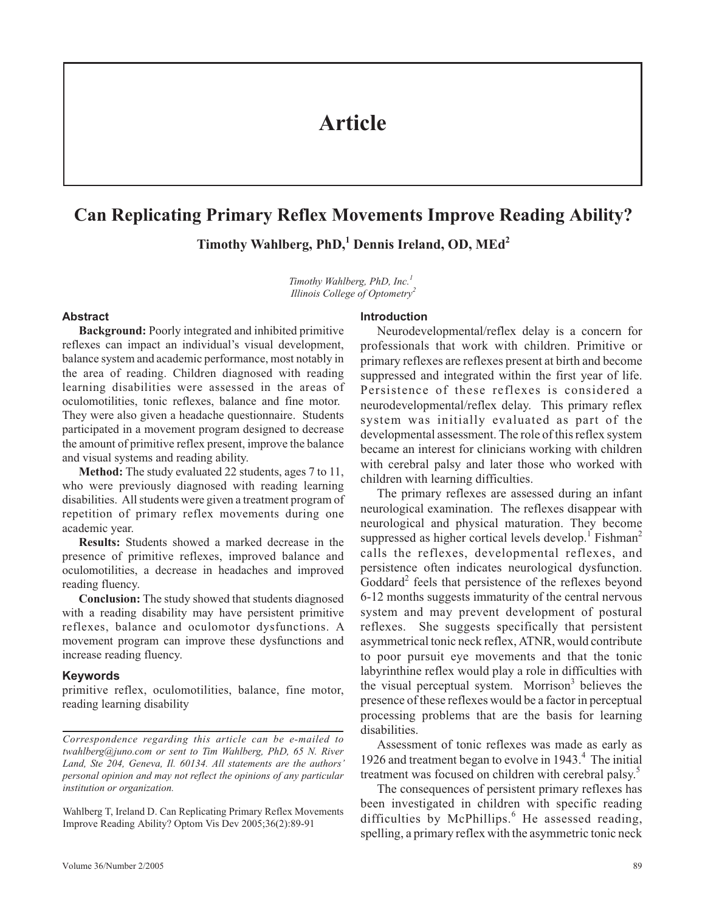# **Article**

# **Can Replicating Primary Reflex Movements Improve Reading Ability?**

**Timothy Wahlberg, PhD,<sup>1</sup> Dennis Ireland, OD, MEd<sup>2</sup>**

*Timothy Wahlberg, PhD, Inc.<sup>1</sup> Illinois College of Optometry<sup>2</sup>*

### **Abstract**

**Background:** Poorly integrated and inhibited primitive reflexes can impact an individual's visual development, balance system and academic performance, most notably in the area of reading. Children diagnosed with reading learning disabilities were assessed in the areas of oculomotilities, tonic reflexes, balance and fine motor. They were also given a headache questionnaire. Students participated in a movement program designed to decrease the amount of primitive reflex present, improve the balance and visual systems and reading ability.

**Method:** The study evaluated 22 students, ages 7 to 11, who were previously diagnosed with reading learning disabilities. All students were given a treatment program of repetition of primary reflex movements during one academic year.

**Results:** Students showed a marked decrease in the presence of primitive reflexes, improved balance and oculomotilities, a decrease in headaches and improved reading fluency.

**Conclusion:** The study showed that students diagnosed with a reading disability may have persistent primitive reflexes, balance and oculomotor dysfunctions. A movement program can improve these dysfunctions and increase reading fluency.

#### **Keywords**

primitive reflex, oculomotilities, balance, fine motor, reading learning disability

Wahlberg T, Ireland D. Can Replicating Primary Reflex Movements Improve Reading Ability? Optom Vis Dev 2005;36(2):89-91

#### **Introduction**

Neurodevelopmental/reflex delay is a concern for professionals that work with children. Primitive or primary reflexes are reflexes present at birth and become suppressed and integrated within the first year of life. Persistence of these reflexes is considered a neurodevelopmental/reflex delay. This primary reflex system was initially evaluated as part of the developmental assessment. The role of this reflex system became an interest for clinicians working with children with cerebral palsy and later those who worked with children with learning difficulties.

The primary reflexes are assessed during an infant neurological examination. The reflexes disappear with neurological and physical maturation. They become suppressed as higher cortical levels develop.<sup>1</sup> Fishman<sup>2</sup> calls the reflexes, developmental reflexes, and persistence often indicates neurological dysfunction. Goddard<sup>2</sup> feels that persistence of the reflexes beyond 6-12 months suggests immaturity of the central nervous system and may prevent development of postural reflexes. She suggests specifically that persistent asymmetrical tonic neck reflex, ATNR, would contribute to poor pursuit eye movements and that the tonic labyrinthine reflex would play a role in difficulties with the visual perceptual system. Morrison $3$  believes the presence of these reflexes would be a factor in perceptual processing problems that are the basis for learning disabilities.

Assessment of tonic reflexes was made as early as 1926 and treatment began to evolve in 1943. $4$  The initial treatment was focused on children with cerebral palsy.<sup>5</sup>

The consequences of persistent primary reflexes has been investigated in children with specific reading difficulties by McPhillips.<sup>6</sup> He assessed reading, spelling, a primary reflex with the asymmetric tonic neck

*Correspondence regarding this article can be e-mailed to twahlberg@juno.com or sent to Tim Wahlberg, PhD, 65 N. River Land, Ste 204, Geneva, Il. 60134. All statements are the authors' personal opinion and may not reflect the opinions of any particular institution or organization.*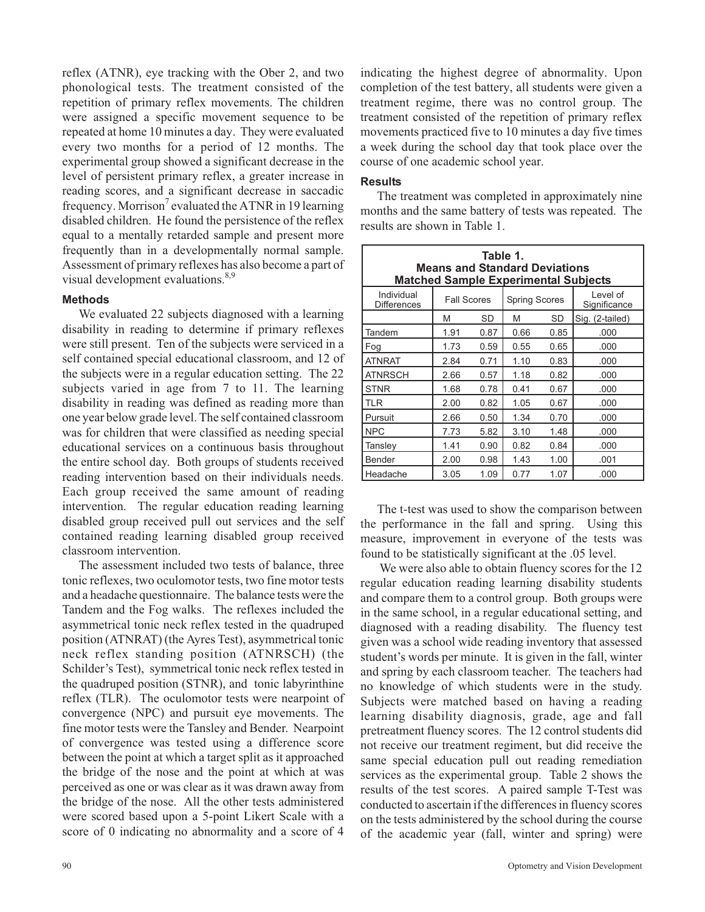reflex (ATNR), eye tracking with the Ober 2, and two phonological tests. The treatment consisted of the repetition of primary reflex movements. The children were assigned a specific movement sequence to be repeated at home 10 minutes a day. They were evaluated every two months for a period of 12 months. The experimental group showed a significant decrease in the level of persistent primary reflex, a greater increase in reading scores, and a significant decrease in saccadic frequency. Morrison<sup>7</sup> evaluated the ATNR in 19 learning disabled children. He found the persistence of the reflex equal to a mentally retarded sample and present more frequently than in a developmentally normal sample. Assessment of primary reflexes has also become a part of visual development evaluations.<sup>8,9</sup>

## **Methods**

We evaluated 22 subjects diagnosed with a learning disability in reading to determine if primary reflexes were still present. Ten of the subjects were serviced in a self contained special educational classroom, and 12 of the subjects were in a regular education setting. The 22 subjects varied in age from 7 to 11. The learning disability in reading was defined as reading more than one year below grade level. The self contained classroom was for children that were classified as needing special educational services on a continuous basis throughout the entire school day. Both groups of students received reading intervention based on their individuals needs. Each group received the same amount of reading intervention. The regular education reading learning disabled group received pull out services and the self contained reading learning disabled group received classroom intervention.

The assessment included two tests of balance, three tonic reflexes, two oculomotor tests, two fine motor tests and a headache questionnaire. The balance tests were the Tandem and the Fog walks. The reflexes included the asymmetrical tonic neck reflex tested in the quadruped position (ATNRAT) (the Ayres Test), asymmetrical tonic neck reflex standing position (ATNRSCH) (the Schilder's Test), symmetrical tonic neck reflex tested in the quadruped position (STNR), and tonic labyrinthine reflex (TLR). The oculomotor tests were nearpoint of convergence (NPC) and pursuit eye movements. The fine motor tests were the Tansley and Bender. Nearpoint of convergence was tested using a difference score between the point at which a target split as it approached the bridge of the nose and the point at which at was perceived as one or was clear as it was drawn away from the bridge of the nose. All the other tests administered were scored based upon a 5-point Likert Scale with a score of 0 indicating no abnormality and a score of 4

indicating the highest degree of abnormality. Upon completion of the test battery, all students were given a treatment regime, there was no control group. The treatment consisted of the repetition of primary reflex movements practiced five to 10 minutes a day five times a week during the school day that took place over the course of one academic school year.

## **Results**

The treatment was completed in approximately nine months and the same battery of tests was repeated. The results are shown in Table 1.

| Table 1.<br><b>Means and Standard Deviations</b><br><b>Matched Sample Experimental Subjects</b> |                    |      |                      |      |                          |  |  |
|-------------------------------------------------------------------------------------------------|--------------------|------|----------------------|------|--------------------------|--|--|
| Individual<br><b>Differences</b>                                                                | <b>Fall Scores</b> |      | <b>Spring Scores</b> |      | Level of<br>Significance |  |  |
|                                                                                                 | M                  | SD   | M                    | SD   | Sig. (2-tailed)          |  |  |
| Tandem                                                                                          | 1.91               | 0.87 | 0.66                 | 0.85 | .000                     |  |  |
| Fog                                                                                             | 1.73               | 0.59 | 0.55                 | 0.65 | .000                     |  |  |
| <b>ATNRAT</b>                                                                                   | 2.84               | 0.71 | 1.10                 | 0.83 | .000                     |  |  |
| <b>ATNRSCH</b>                                                                                  | 2.66               | 0.57 | 1.18                 | 0.82 | .000                     |  |  |
| <b>STNR</b>                                                                                     | 1.68               | 0.78 | 0.41                 | 0.67 | .000                     |  |  |
| <b>TLR</b>                                                                                      | 2.00               | 0.82 | 1.05                 | 0.67 | .000                     |  |  |
| Pursuit                                                                                         | 2.66               | 0.50 | 1.34                 | 0.70 | .000                     |  |  |
| <b>NPC</b>                                                                                      | 7.73               | 5.82 | 3.10                 | 1.48 | .000                     |  |  |
| Tansley                                                                                         | 1.41               | 0.90 | 0.82                 | 0.84 | .000                     |  |  |
| <b>Bender</b>                                                                                   | 2.00               | 0.98 | 1.43                 | 1.00 | .001                     |  |  |
| Headache                                                                                        | 3.05               | 1.09 | 0.77                 | 1.07 | .000                     |  |  |

The t-test was used to show the comparison between the performance in the fall and spring. Using this measure, improvement in everyone of the tests was found to be statistically significant at the .05 level.

We were also able to obtain fluency scores for the 12 regular education reading learning disability students and compare them to a control group. Both groups were in the same school, in a regular educational setting, and diagnosed with a reading disability. The fluency test given was a school wide reading inventory that assessed student's words per minute. It is given in the fall, winter and spring by each classroom teacher. The teachers had no knowledge of which students were in the study. Subjects were matched based on having a reading learning disability diagnosis, grade, age and fall pretreatment fluency scores. The 12 control students did not receive our treatment regiment, but did receive the same special education pull out reading remediation services as the experimental group. Table 2 shows the results of the test scores. A paired sample T-Test was conducted to ascertain if the differences in fluency scores on the tests administered by the school during the course of the academic year (fall, winter and spring) were